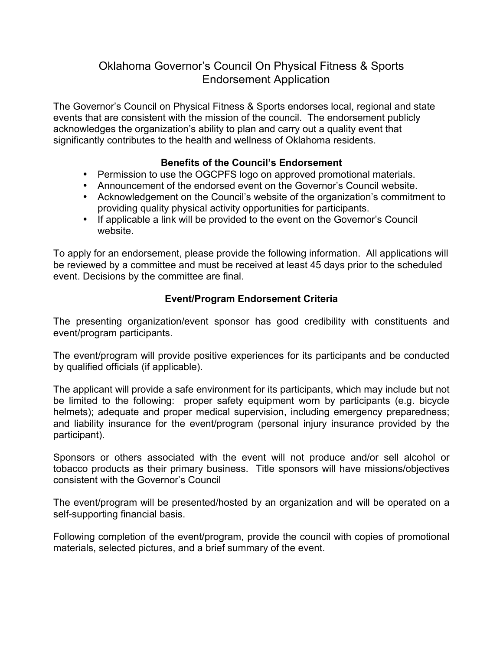## Oklahoma Governor's Council On Physical Fitness & Sports Endorsement Application

The Governor's Council on Physical Fitness & Sports endorses local, regional and state events that are consistent with the mission of the council. The endorsement publicly acknowledges the organization's ability to plan and carry out a quality event that significantly contributes to the health and wellness of Oklahoma residents.

## **Benefits of the Council's Endorsement**

- Permission to use the OGCPFS logo on approved promotional materials.
- Announcement of the endorsed event on the Governor's Council website.
- Acknowledgement on the Council's website of the organization's commitment to providing quality physical activity opportunities for participants.
- If applicable a link will be provided to the event on the Governor's Council website.

To apply for an endorsement, please provide the following information. All applications will be reviewed by a committee and must be received at least 45 days prior to the scheduled event. Decisions by the committee are final.

## **Event/Program Endorsement Criteria**

The presenting organization/event sponsor has good credibility with constituents and event/program participants.

The event/program will provide positive experiences for its participants and be conducted by qualified officials (if applicable).

The applicant will provide a safe environment for its participants, which may include but not be limited to the following: proper safety equipment worn by participants (e.g. bicycle helmets); adequate and proper medical supervision, including emergency preparedness; and liability insurance for the event/program (personal injury insurance provided by the participant).

Sponsors or others associated with the event will not produce and/or sell alcohol or tobacco products as their primary business. Title sponsors will have missions/objectives consistent with the Governor's Council

The event/program will be presented/hosted by an organization and will be operated on a self-supporting financial basis.

Following completion of the event/program, provide the council with copies of promotional materials, selected pictures, and a brief summary of the event.